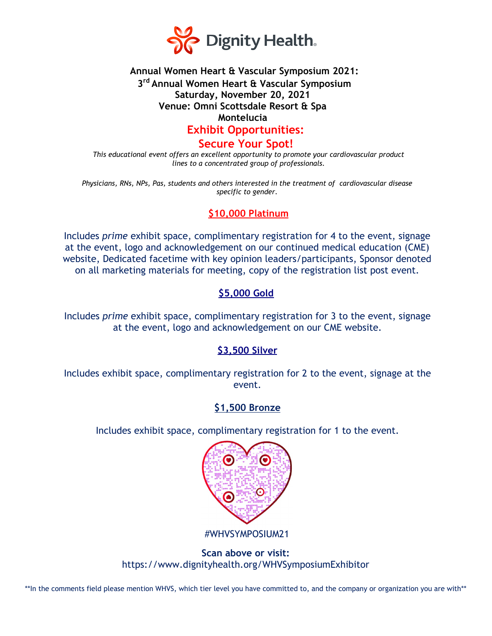

# **Annual Women Heart & Vascular Symposium 2021: 3 rd Annual Women Heart & Vascular Symposium Saturday, November 20, 2021 Venue: Omni Scottsdale Resort & Spa Montelucia Exhibit Opportunities:**

**Secure Your Spot!**

*This educational event offers an excellent opportunity to promote your cardiovascular product lines to a concentrated group of professionals.*

*Physicians, RNs, NPs, Pas, students and others interested in the treatment of cardiovascular disease specific to gender.*

# **\$10,000 Platinum**

Includes *prime* exhibit space, complimentary registration for 4 to the event, signage at the event, logo and acknowledgement on our continued medical education (CME) website, Dedicated facetime with key opinion leaders/participants, Sponsor denoted on all marketing materials for meeting, copy of the registration list post event.

## **\$5,000 Gold**

Includes *prime* exhibit space, complimentary registration for 3 to the event, signage at the event, logo and acknowledgement on our CME website.

## **\$3,500 Silver**

Includes exhibit space, complimentary registration for 2 to the event, signage at the event.

## **\$1,500 Bronze**

Includes exhibit space, complimentary registration for 1 to the event.



#WHVSYMPOSIUM21

**Scan above or visit:** https://www.dignityhealth.org/WHVSymposiumExhibitor

\*\*In the comments field please mention WHVS, which tier level you have committed to, and the company or organization you are with\*\*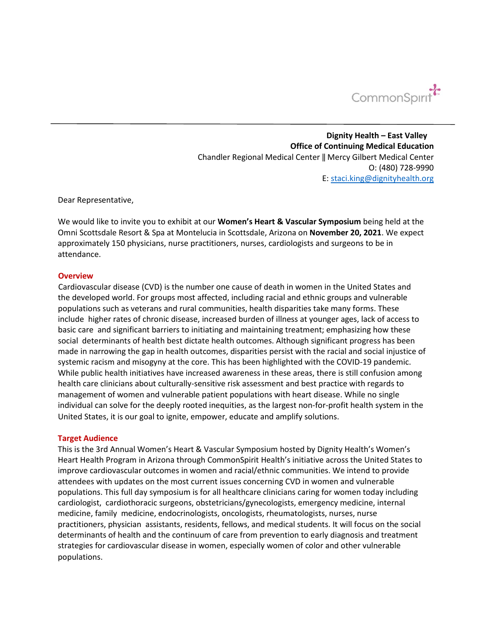

**Dignity Health – East Valley Office of Continuing Medical Education** Chandler Regional Medical Center ‖ Mercy Gilbert Medical Center O: (480) 728-9990 E: staci.king@dignityhealth.org

Dear Representative,

We would like to invite you to exhibit at our **Women's Heart & Vascular Symposium** being held at the Omni Scottsdale Resort & Spa at Montelucia in Scottsdale, Arizona on **November 20, 2021**. We expect approximately 150 physicians, nurse practitioners, nurses, cardiologists and surgeons to be in attendance.

#### **Overview**

Cardiovascular disease (CVD) is the number one cause of death in women in the United States and the developed world. For groups most affected, including racial and ethnic groups and vulnerable populations such as veterans and rural communities, health disparities take many forms. These include higher rates of chronic disease, increased burden of illness at younger ages, lack of access to basic care and significant barriers to initiating and maintaining treatment; emphasizing how these social determinants of health best dictate health outcomes. Although significant progress has been made in narrowing the gap in health outcomes, disparities persist with the racial and social injustice of systemic racism and misogyny at the core. This has been highlighted with the COVID-19 pandemic. While public health initiatives have increased awareness in these areas, there is still confusion among health care clinicians about culturally-sensitive risk assessment and best practice with regards to management of women and vulnerable patient populations with heart disease. While no single individual can solve for the deeply rooted inequities, as the largest non-for-profit health system in the United States, it is our goal to ignite, empower, educate and amplify solutions.

#### **Target Audience**

This is the 3rd Annual Women's Heart & Vascular Symposium hosted by Dignity Health's Women's Heart Health Program in Arizona through CommonSpirit Health's initiative across the United States to improve cardiovascular outcomes in women and racial/ethnic communities. We intend to provide attendees with updates on the most current issues concerning CVD in women and vulnerable populations. This full day symposium is for all healthcare clinicians caring for women today including cardiologist, cardiothoracic surgeons, obstetricians/gynecologists, emergency medicine, internal medicine, family medicine, endocrinologists, oncologists, rheumatologists, nurses, nurse practitioners, physician assistants, residents, fellows, and medical students. It will focus on the social determinants of health and the continuum of care from prevention to early diagnosis and treatment strategies for cardiovascular disease in women, especially women of color and other vulnerable populations.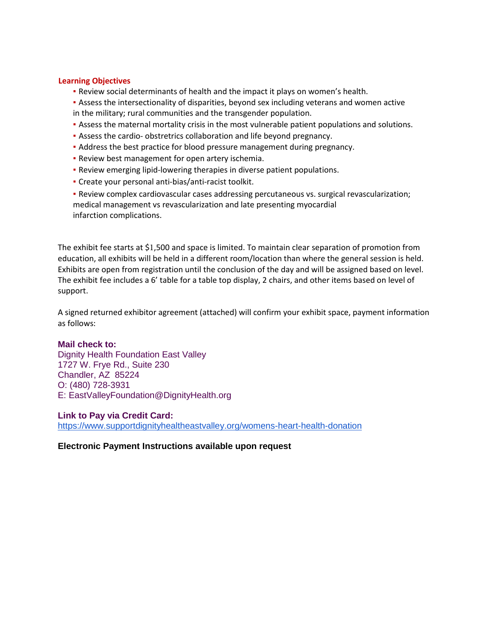#### **Learning Objectives**

- Review social determinants of health and the impact it plays on women's health.
- **Assess the intersectionality of disparities, beyond sex including veterans and women active** in the military; rural communities and the transgender population.
- Assess the maternal mortality crisis in the most vulnerable patient populations and solutions.
- Assess the cardio- obstretrics collaboration and life beyond pregnancy.
- Address the best practice for blood pressure management during pregnancy.
- **· Review best management for open artery ischemia.**
- Review emerging lipid-lowering therapies in diverse patient populations.
- Create your personal anti-bias/anti-racist toolkit.
- Review complex cardiovascular cases addressing percutaneous vs. surgical revascularization; medical management vs revascularization and late presenting myocardial infarction complications.

The exhibit fee starts at \$1,500 and space is limited. To maintain clear separation of promotion from education, all exhibits will be held in a different room/location than where the general session is held. Exhibits are open from registration until the conclusion of the day and will be assigned based on level. The exhibit fee includes a 6' table for a table top display, 2 chairs, and other items based on level of support.

A signed returned exhibitor agreement (attached) will confirm your exhibit space, payment information as follows:

## **Mail check to:**

Dignity Health Foundation East Valley 1727 W. Frye Rd., Suite 230 Chandler, AZ 85224 O: (480) 728-3931 E: EastValleyFoundation@DignityHealth.org

## **Link to Pay via Credit Card:**

https://www.supportdignityhealtheastvalley.org/womens-heart-health-donation

**Electronic Payment Instructions available upon request**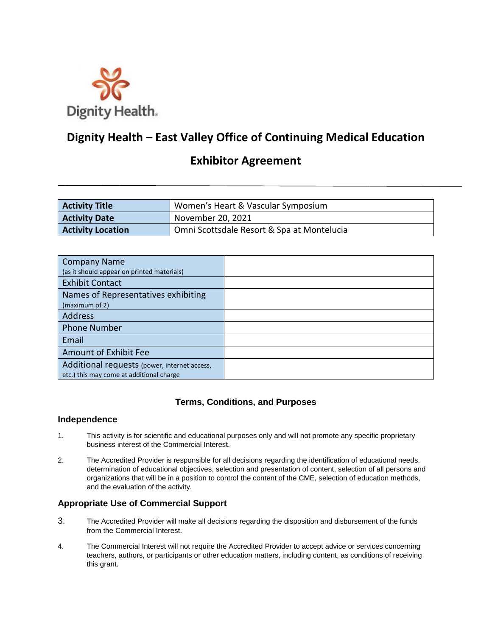

# **Dignity Health – East Valley Office of Continuing Medical Education**

# **Exhibitor Agreement**

| <b>Activity Title</b>    | Women's Heart & Vascular Symposium         |
|--------------------------|--------------------------------------------|
| <b>Activity Date</b>     | November 20, 2021                          |
| <b>Activity Location</b> | Omni Scottsdale Resort & Spa at Montelucia |

| <b>Company Name</b>                          |  |
|----------------------------------------------|--|
| (as it should appear on printed materials)   |  |
| <b>Exhibit Contact</b>                       |  |
| Names of Representatives exhibiting          |  |
| (maximum of 2)                               |  |
| <b>Address</b>                               |  |
| <b>Phone Number</b>                          |  |
| Email                                        |  |
| Amount of Exhibit Fee                        |  |
| Additional requests (power, internet access, |  |
| etc.) this may come at additional charge     |  |

## **Terms, Conditions, and Purposes**

#### **Independence**

- 1. This activity is for scientific and educational purposes only and will not promote any specific proprietary business interest of the Commercial Interest.
- 2. The Accredited Provider is responsible for all decisions regarding the identification of educational needs, determination of educational objectives, selection and presentation of content, selection of all persons and organizations that will be in a position to control the content of the CME, selection of education methods, and the evaluation of the activity.

## **Appropriate Use of Commercial Support**

- 3. The Accredited Provider will make all decisions regarding the disposition and disbursement of the funds from the Commercial Interest.
- 4. The Commercial Interest will not require the Accredited Provider to accept advice or services concerning teachers, authors, or participants or other education matters, including content, as conditions of receiving this grant.